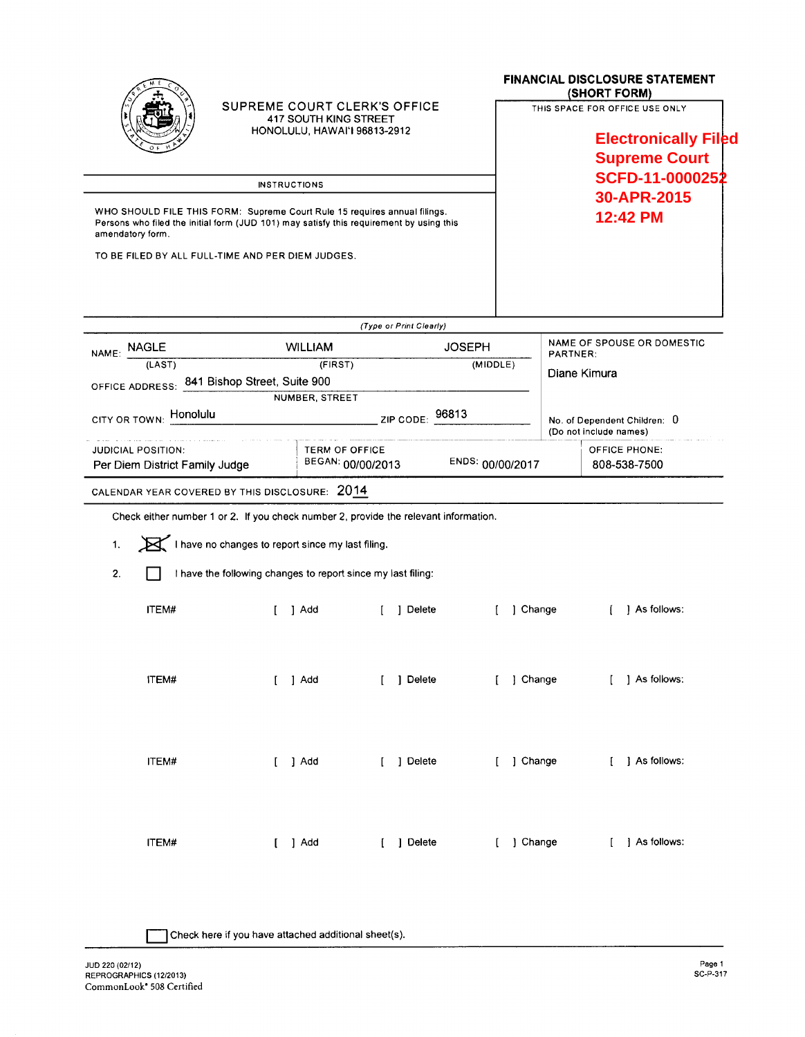|                                                                                                                                                                                          | SUPREME COURT CLERK'S OFFICE<br><b>417 SOUTH KING STREET</b><br>HONOLULU, HAWAI'I 96813-2912<br><b>INSTRUCTIONS</b> |                         |                  | <b>FINANCIAL DISCLOSURE STATEMENT</b><br>(SHORT FORM)<br>THIS SPACE FOR OFFICE USE ONLY<br><b>Electronically Filed</b><br><b>Supreme Court</b><br>SCFD-11-0000252 |  |  |
|------------------------------------------------------------------------------------------------------------------------------------------------------------------------------------------|---------------------------------------------------------------------------------------------------------------------|-------------------------|------------------|-------------------------------------------------------------------------------------------------------------------------------------------------------------------|--|--|
| WHO SHOULD FILE THIS FORM: Supreme Court Rule 15 requires annual filings.<br>Persons who filed the initial form (JUD 101) may satisfy this requirement by using this<br>amendatory form. |                                                                                                                     |                         |                  | 30-APR-2015<br>12:42 PM                                                                                                                                           |  |  |
| TO BE FILED BY ALL FULL-TIME AND PER DIEM JUDGES.                                                                                                                                        |                                                                                                                     |                         |                  |                                                                                                                                                                   |  |  |
|                                                                                                                                                                                          |                                                                                                                     | (Type or Print Clearly) |                  |                                                                                                                                                                   |  |  |
| NAME: NAGLE                                                                                                                                                                              | <b>WILLIAM</b>                                                                                                      | <b>JOSEPH</b>           |                  | NAME OF SPOUSE OR DOMESTIC                                                                                                                                        |  |  |
| (LAST)                                                                                                                                                                                   | (FIRST)                                                                                                             |                         | (MIDDLE)         | PARTNER:                                                                                                                                                          |  |  |
| OFFICE ADDRESS: 841 Bishop Street, Suite 900                                                                                                                                             |                                                                                                                     |                         |                  | Diane Kimura                                                                                                                                                      |  |  |
|                                                                                                                                                                                          | NUMBER, STREET                                                                                                      |                         |                  |                                                                                                                                                                   |  |  |
| CITY OR TOWN: Honolulu                                                                                                                                                                   |                                                                                                                     | 96813<br>ZIP CODE:      |                  | No. of Dependent Children: 0<br>(Do not include names)                                                                                                            |  |  |
| <b>JUDICIAL POSITION:</b>                                                                                                                                                                | TERM OF OFFICE                                                                                                      |                         |                  | OFFICE PHONE:                                                                                                                                                     |  |  |
| Per Diem District Family Judge                                                                                                                                                           | BEGAN: 00/00/2013                                                                                                   |                         | ENDS: 00/00/2017 | 808-538-7500                                                                                                                                                      |  |  |
| CALENDAR YEAR COVERED BY THIS DISCLOSURE: 2014                                                                                                                                           |                                                                                                                     |                         |                  |                                                                                                                                                                   |  |  |
| Check either number 1 or 2. If you check number 2, provide the relevant information.                                                                                                     |                                                                                                                     |                         |                  |                                                                                                                                                                   |  |  |
| 1.                                                                                                                                                                                       | I have no changes to report since my last filing.                                                                   |                         |                  |                                                                                                                                                                   |  |  |
| 2.                                                                                                                                                                                       | I have the following changes to report since my last filing:                                                        |                         |                  |                                                                                                                                                                   |  |  |
| ITEM#                                                                                                                                                                                    | 1 Add                                                                                                               | Delete                  | ] Change<br>ſ    | As follows:                                                                                                                                                       |  |  |
| <b>ITEM#</b>                                                                                                                                                                             | $\begin{bmatrix} 1 & 1 \end{bmatrix}$ Add                                                                           | [ ] Delete              |                  | [ ] Change<br>[ ] As follows:                                                                                                                                     |  |  |
| ITEM#                                                                                                                                                                                    | $[$ ] $Add$                                                                                                         | [ ] Delete              | [ ] Change       | [ ] As follows:                                                                                                                                                   |  |  |
| ITEM#                                                                                                                                                                                    | $[$ ] Add                                                                                                           | [ ] Delete              | [ ] Change       | [ ] As follows:                                                                                                                                                   |  |  |

Check here if you have attached additional sheet(s).